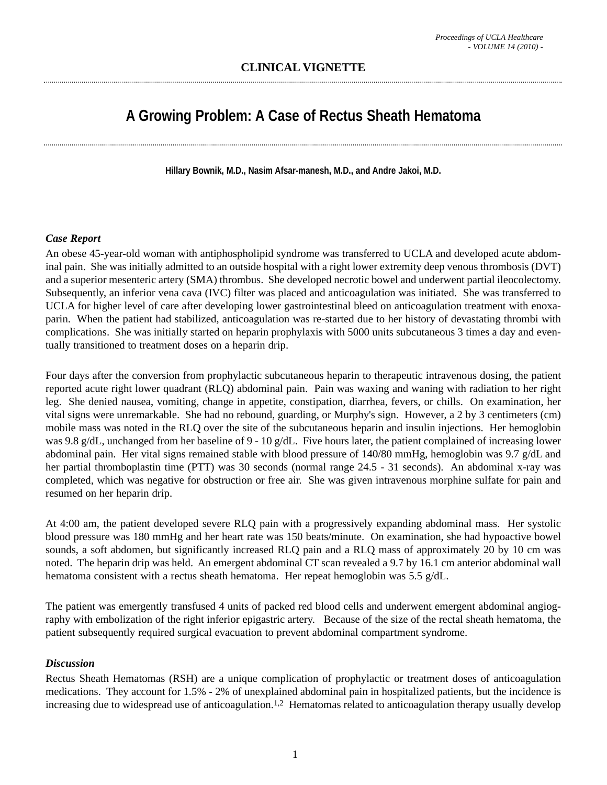## **CLINICAL VIGNETTE**

# **A Growing Problem: A Case of Rectus Sheath Hematoma**

**Hillary Bownik, M.D., Nasim Afsar-manesh, M.D., and Andre Jakoi, M.D.**

#### *Case Report*

An obese 45-year-old woman with antiphospholipid syndrome was transferred to UCLA and developed acute abdominal pain. She was initially admitted to an outside hospital with a right lower extremity deep venous thrombosis (DVT) and a superior mesenteric artery (SMA) thrombus. She developed necrotic bowel and underwent partial ileocolectomy. Subsequently, an inferior vena cava (IVC) filter was placed and anticoagulation was initiated. She was transferred to UCLA for higher level of care after developing lower gastrointestinal bleed on anticoagulation treatment with enoxaparin. When the patient had stabilized, anticoagulation was re-started due to her history of devastating thrombi with complications. She was initially started on heparin prophylaxis with 5000 units subcutaneous 3 times a day and eventually transitioned to treatment doses on a heparin drip.

Four days after the conversion from prophylactic subcutaneous heparin to therapeutic intravenous dosing, the patient reported acute right lower quadrant (RLQ) abdominal pain. Pain was waxing and waning with radiation to her right leg. She denied nausea, vomiting, change in appetite, constipation, diarrhea, fevers, or chills. On examination, her vital signs were unremarkable. She had no rebound, guarding, or Murphy's sign. However, a 2 by 3 centimeters (cm) mobile mass was noted in the RLQ over the site of the subcutaneous heparin and insulin injections. Her hemoglobin was 9.8 g/dL, unchanged from her baseline of 9 - 10 g/dL. Five hours later, the patient complained of increasing lower abdominal pain. Her vital signs remained stable with blood pressure of 140/80 mmHg, hemoglobin was 9.7 g/dL and her partial thromboplastin time (PTT) was 30 seconds (normal range 24.5 - 31 seconds). An abdominal x-ray was completed, which was negative for obstruction or free air. She was given intravenous morphine sulfate for pain and resumed on her heparin drip.

At 4:00 am, the patient developed severe RLQ pain with a progressively expanding abdominal mass. Her systolic blood pressure was 180 mmHg and her heart rate was 150 beats/minute. On examination, she had hypoactive bowel sounds, a soft abdomen, but significantly increased RLQ pain and a RLQ mass of approximately 20 by 10 cm was noted. The heparin drip was held. An emergent abdominal CT scan revealed a 9.7 by 16.1 cm anterior abdominal wall hematoma consistent with a rectus sheath hematoma. Her repeat hemoglobin was 5.5 g/dL.

The patient was emergently transfused 4 units of packed red blood cells and underwent emergent abdominal angiography with embolization of the right inferior epigastric artery. Because of the size of the rectal sheath hematoma, the patient subsequently required surgical evacuation to prevent abdominal compartment syndrome.

#### *Discussion*

Rectus Sheath Hematomas (RSH) are a unique complication of prophylactic or treatment doses of anticoagulation medications. They account for 1.5% - 2% of unexplained abdominal pain in hospitalized patients, but the incidence is increasing due to widespread use of anticoagulation.<sup>1,2</sup> Hematomas related to anticoagulation therapy usually develop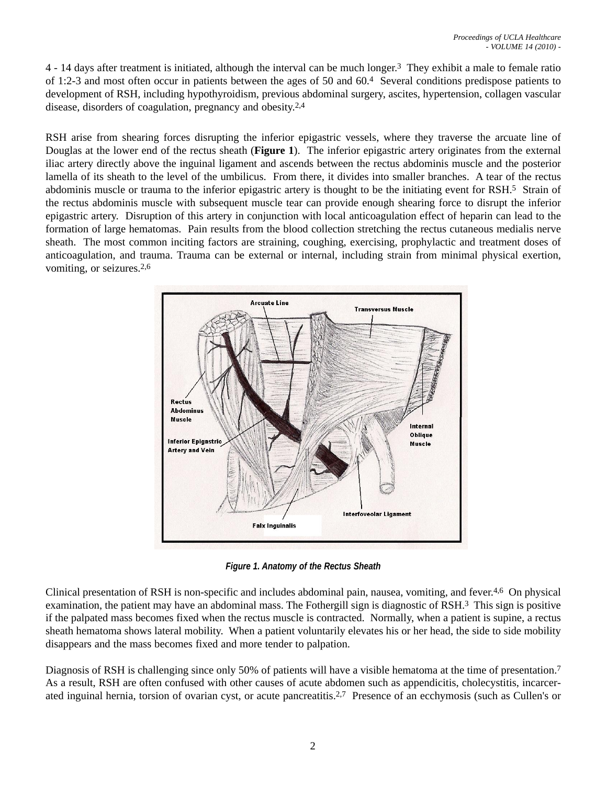4 - 14 days after treatment is initiated, although the interval can be much longer.3 They exhibit a male to female ratio of 1:2-3 and most often occur in patients between the ages of 50 and 60.4 Several conditions predispose patients to development of RSH, including hypothyroidism, previous abdominal surgery, ascites, hypertension, collagen vascular disease, disorders of coagulation, pregnancy and obesity.2,4

RSH arise from shearing forces disrupting the inferior epigastric vessels, where they traverse the arcuate line of Douglas at the lower end of the rectus sheath (**Figure 1**). The inferior epigastric artery originates from the external iliac artery directly above the inguinal ligament and ascends between the rectus abdominis muscle and the posterior lamella of its sheath to the level of the umbilicus. From there, it divides into smaller branches. A tear of the rectus abdominis muscle or trauma to the inferior epigastric artery is thought to be the initiating event for RSH.5 Strain of the rectus abdominis muscle with subsequent muscle tear can provide enough shearing force to disrupt the inferior epigastric artery. Disruption of this artery in conjunction with local anticoagulation effect of heparin can lead to the formation of large hematomas. Pain results from the blood collection stretching the rectus cutaneous medialis nerve sheath. The most common inciting factors are straining, coughing, exercising, prophylactic and treatment doses of anticoagulation, and trauma. Trauma can be external or internal, including strain from minimal physical exertion, vomiting, or seizures.2,6



*Figure 1. Anatomy of the Rectus Sheath*

Clinical presentation of RSH is non-specific and includes abdominal pain, nausea, vomiting, and fever.4,6 On physical examination, the patient may have an abdominal mass. The Fothergill sign is diagnostic of RSH.3 This sign is positive if the palpated mass becomes fixed when the rectus muscle is contracted. Normally, when a patient is supine, a rectus sheath hematoma shows lateral mobility. When a patient voluntarily elevates his or her head, the side to side mobility disappears and the mass becomes fixed and more tender to palpation.

Diagnosis of RSH is challenging since only 50% of patients will have a visible hematoma at the time of presentation.<sup>7</sup> As a result, RSH are often confused with other causes of acute abdomen such as appendicitis, cholecystitis, incarcerated inguinal hernia, torsion of ovarian cyst, or acute pancreatitis.2,7 Presence of an ecchymosis (such as Cullen's or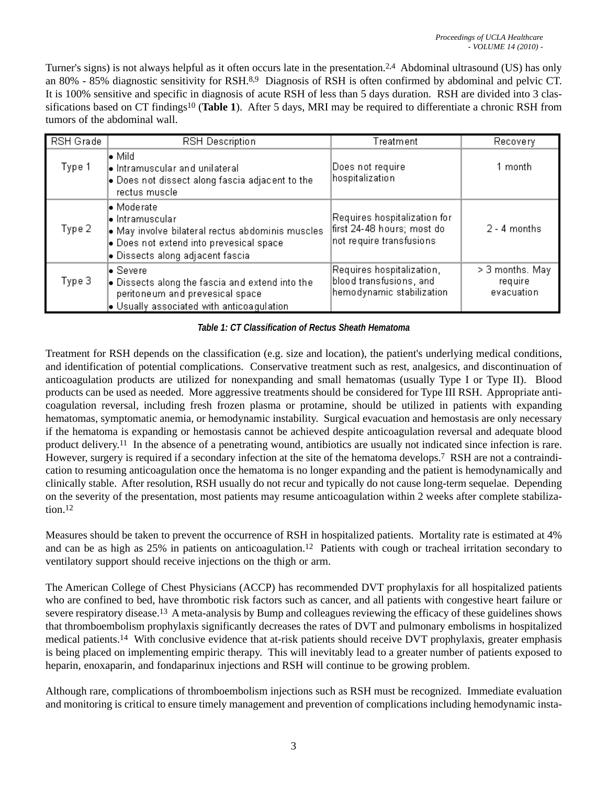Turner's signs) is not always helpful as it often occurs late in the presentation.2,4 Abdominal ultrasound (US) has only an 80% - 85% diagnostic sensitivity for RSH.8,9 Diagnosis of RSH is often confirmed by abdominal and pelvic CT. It is 100% sensitive and specific in diagnosis of acute RSH of less than 5 days duration. RSH are divided into 3 classifications based on CT findings10 (**Table 1**). After 5 days, MRI may be required to differentiate a chronic RSH from tumors of the abdominal wall.

| RSH Grade | <b>RSH Description</b>                                                                                                                                                                        | Treatment                                                                              | Recovery                                   |
|-----------|-----------------------------------------------------------------------------------------------------------------------------------------------------------------------------------------------|----------------------------------------------------------------------------------------|--------------------------------------------|
| Type 1    | l• Mild<br>$\bullet$ Intramuscular and unilateral<br>$\bullet$ Does not dissect along fascia adjacent to the<br>rectus muscle                                                                 | Does not require<br>hospitalization                                                    | 1 month                                    |
| Type 2    | l• Moderate<br>l• Intramuscular<br>$\bullet$ May involve bilateral rectus abdominis muscles.<br>$\bullet$ Does not extend into prevesical space.<br>$\bullet$ Dissects along adjacent fascial | Requires hospitalization for<br>first 24-48 hours; most do<br>not require transfusions | $2 - 4$ months                             |
| Type 3    | l• Severe<br>$\bullet$ Dissects along the fascia and extend into the<br>peritoneum and prevesical space<br>$\bullet$ Usually associated with anticoagulation.                                 | Requires hospitalization,<br>blood transfusions, and<br>hemodynamic stabilization      | $>$ 3 months. May<br>require<br>evacuation |

### *Table 1: CT Classification of Rectus Sheath Hematoma*

Treatment for RSH depends on the classification (e.g. size and location), the patient's underlying medical conditions, and identification of potential complications. Conservative treatment such as rest, analgesics, and discontinuation of anticoagulation products are utilized for nonexpanding and small hematomas (usually Type I or Type II). Blood products can be used as needed. More aggressive treatments should be considered for Type III RSH. Appropriate anticoagulation reversal, including fresh frozen plasma or protamine, should be utilized in patients with expanding hematomas, symptomatic anemia, or hemodynamic instability. Surgical evacuation and hemostasis are only necessary if the hematoma is expanding or hemostasis cannot be achieved despite anticoagulation reversal and adequate blood product delivery.11 In the absence of a penetrating wound, antibiotics are usually not indicated since infection is rare. However, surgery is required if a secondary infection at the site of the hematoma develops.<sup>7</sup> RSH are not a contraindication to resuming anticoagulation once the hematoma is no longer expanding and the patient is hemodynamically and clinically stable. After resolution, RSH usually do not recur and typically do not cause long-term sequelae. Depending on the severity of the presentation, most patients may resume anticoagulation within 2 weeks after complete stabilization.12

Measures should be taken to prevent the occurrence of RSH in hospitalized patients. Mortality rate is estimated at 4% and can be as high as 25% in patients on anticoagulation.<sup>12</sup> Patients with cough or tracheal irritation secondary to ventilatory support should receive injections on the thigh or arm.

The American College of Chest Physicians (ACCP) has recommended DVT prophylaxis for all hospitalized patients who are confined to bed, have thrombotic risk factors such as cancer, and all patients with congestive heart failure or severe respiratory disease.13 A meta-analysis by Bump and colleagues reviewing the efficacy of these guidelines shows that thromboembolism prophylaxis significantly decreases the rates of DVT and pulmonary embolisms in hospitalized medical patients.14 With conclusive evidence that at-risk patients should receive DVT prophylaxis, greater emphasis is being placed on implementing empiric therapy. This will inevitably lead to a greater number of patients exposed to heparin, enoxaparin, and fondaparinux injections and RSH will continue to be growing problem.

Although rare, complications of thromboembolism injections such as RSH must be recognized. Immediate evaluation and monitoring is critical to ensure timely management and prevention of complications including hemodynamic insta